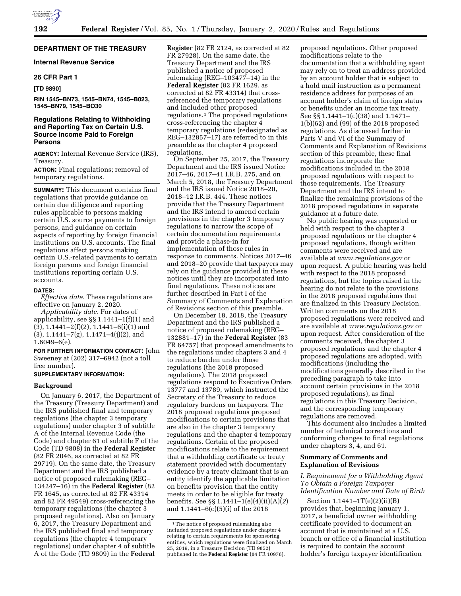# **DEPARTMENT OF THE TREASURY**

# **Internal Revenue Service**

## **26 CFR Part 1**

#### **[TD 9890]**

**RIN 1545–BN73, 1545–BN74, 1545–B023, 1545–BN79, 1545–BO30** 

# **Regulations Relating to Withholding and Reporting Tax on Certain U.S. Source Income Paid to Foreign Persons**

**AGENCY:** Internal Revenue Service (IRS), Treasury.

**ACTION:** Final regulations; removal of temporary regulations.

**SUMMARY:** This document contains final regulations that provide guidance on certain due diligence and reporting rules applicable to persons making certain U.S. source payments to foreign persons, and guidance on certain aspects of reporting by foreign financial institutions on U.S. accounts. The final regulations affect persons making certain U.S.-related payments to certain foreign persons and foreign financial institutions reporting certain U.S. accounts.

#### **DATES:**

*Effective date.* These regulations are effective on January 2, 2020.

*Applicability date.* For dates of applicability, see §§ 1.1441–1(f)(1) and  $(3)$ , 1.1441–2 $(f)(2)$ , 1.1441–6 $(i)(1)$  and  $(3)$ , 1.1441–7 $(g)$ , 1.1471–4 $(j)(2)$ , and 1.6049–6(e).

**FOR FURTHER INFORMATION CONTACT:** John Sweeney at (202) 317–6942 (not a toll free number).

#### **SUPPLEMENTARY INFORMATION:**

## **Background**

On January 6, 2017, the Department of the Treasury (Treasury Department) and the IRS published final and temporary regulations (the chapter 3 temporary regulations) under chapter 3 of subtitle A of the Internal Revenue Code (the Code) and chapter 61 of subtitle F of the Code (TD 9808) in the **Federal Register**  (82 FR 2046, as corrected at 82 FR 29719). On the same date, the Treasury Department and the IRS published a notice of proposed rulemaking (REG– 134247–16) in the **Federal Register** (82 FR 1645, as corrected at 82 FR 43314 and 82 FR 49549) cross-referencing the temporary regulations (the chapter 3 proposed regulations). Also on January 6, 2017, the Treasury Department and the IRS published final and temporary regulations (the chapter 4 temporary regulations) under chapter 4 of subtitle A of the Code (TD 9809) in the **Federal** 

**Register** (82 FR 2124, as corrected at 82 FR 27928). On the same date, the Treasury Department and the IRS published a notice of proposed rulemaking (REG–103477–14) in the **Federal Register** (82 FR 1629, as corrected at 82 FR 43314) that crossreferenced the temporary regulations and included other proposed regulations.1 The proposed regulations cross-referencing the chapter 4 temporary regulations (redesignated as REG–132857–17) are referred to in this preamble as the chapter 4 proposed regulations.

On September 25, 2017, the Treasury Department and the IRS issued Notice 2017–46, 2017–41 I.R.B. 275, and on March 5, 2018, the Treasury Department and the IRS issued Notice 2018–20, 2018–12 I.R.B. 444. These notices provide that the Treasury Department and the IRS intend to amend certain provisions in the chapter 3 temporary regulations to narrow the scope of certain documentation requirements and provide a phase-in for implementation of those rules in response to comments. Notices 2017–46 and 2018–20 provide that taxpayers may rely on the guidance provided in these notices until they are incorporated into final regulations. These notices are further described in Part I of the Summary of Comments and Explanation of Revisions section of this preamble.

On December 18, 2018, the Treasury Department and the IRS published a notice of proposed rulemaking (REG– 132881–17) in the **Federal Register** (83 FR 64757) that proposed amendments to the regulations under chapters 3 and 4 to reduce burden under those regulations (the 2018 proposed regulations). The 2018 proposed regulations respond to Executive Orders 13777 and 13789, which instructed the Secretary of the Treasury to reduce regulatory burdens on taxpayers. The 2018 proposed regulations proposed modifications to certain provisions that are also in the chapter 3 temporary regulations and the chapter 4 temporary regulations. Certain of the proposed modifications relate to the requirement that a withholding certificate or treaty statement provided with documentary evidence by a treaty claimant that is an entity identify the applicable limitation on benefits provision that the entity meets in order to be eligible for treaty benefits. See §§ 1.1441–1(e)(4)(ii)(A)(*2*) and 1.1441–6(c)(5)(i) of the 2018

proposed regulations. Other proposed modifications relate to the documentation that a withholding agent may rely on to treat an address provided by an account holder that is subject to a hold mail instruction as a permanent residence address for purposes of an account holder's claim of foreign status or benefits under an income tax treaty. See §§ 1.1441–1(c)(38) and 1.1471– 1(b)(62) and (99) of the 2018 proposed regulations. As discussed further in Parts V and VI of the Summary of Comments and Explanation of Revisions section of this preamble, these final regulations incorporate the modifications included in the 2018 proposed regulations with respect to those requirements. The Treasury Department and the IRS intend to finalize the remaining provisions of the 2018 proposed regulations in separate guidance at a future date.

No public hearing was requested or held with respect to the chapter 3 proposed regulations or the chapter 4 proposed regulations, though written comments were received and are available at *[www.regulations.gov](http://www.regulations.gov)* or upon request. A public hearing was held with respect to the 2018 proposed regulations, but the topics raised in the hearing do not relate to the provisions in the 2018 proposed regulations that are finalized in this Treasury Decision. Written comments on the 2018 proposed regulations were received and are available at *[www.regulations.gov](http://www.regulations.gov)* or upon request. After consideration of the comments received, the chapter 3 proposed regulations and the chapter 4 proposed regulations are adopted, with modifications (including the modifications generally described in the preceding paragraph to take into account certain provisions in the 2018 proposed regulations), as final regulations in this Treasury Decision, and the corresponding temporary regulations are removed.

This document also includes a limited number of technical corrections and conforming changes to final regulations under chapters 3, 4, and 61.

#### **Summary of Comments and Explanation of Revisions**

# *I. Requirement for a Withholding Agent To Obtain a Foreign Taxpayer Identification Number and Date of Birth*

Section 1.1441–1T(e)(2)(ii)(B) provides that, beginning January 1, 2017, a beneficial owner withholding certificate provided to document an account that is maintained at a U.S. branch or office of a financial institution is required to contain the account holder's foreign taxpayer identification

<sup>&</sup>lt;sup>1</sup>The notice of proposed rulemaking also included proposed regulations under chapter 4 relating to certain requirements for sponsoring entities, which regulations were finalized on March 25, 2019, in a Treasury Decision (TD 9852) published in the **Federal Register** (84 FR 10976).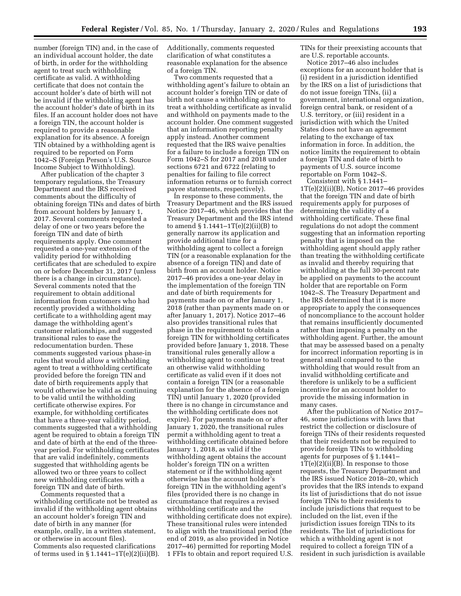number (foreign TIN) and, in the case of an individual account holder, the date of birth, in order for the withholding agent to treat such withholding certificate as valid. A withholding certificate that does not contain the account holder's date of birth will not be invalid if the withholding agent has the account holder's date of birth in its files. If an account holder does not have a foreign TIN, the account holder is required to provide a reasonable explanation for its absence. A foreign TIN obtained by a withholding agent is required to be reported on Form 1042–S (Foreign Person's U.S. Source Income Subject to Withholding).

After publication of the chapter 3 temporary regulations, the Treasury Department and the IRS received comments about the difficulty of obtaining foreign TINs and dates of birth from account holders by January 1, 2017. Several comments requested a delay of one or two years before the foreign TIN and date of birth requirements apply. One comment requested a one-year extension of the validity period for withholding certificates that are scheduled to expire on or before December 31, 2017 (unless there is a change in circumstance). Several comments noted that the requirement to obtain additional information from customers who had recently provided a withholding certificate to a withholding agent may damage the withholding agent's customer relationships, and suggested transitional rules to ease the redocumentation burden. These comments suggested various phase-in rules that would allow a withholding agent to treat a withholding certificate provided before the foreign TIN and date of birth requirements apply that would otherwise be valid as continuing to be valid until the withholding certificate otherwise expires. For example, for withholding certificates that have a three-year validity period, comments suggested that a withholding agent be required to obtain a foreign TIN and date of birth at the end of the threeyear period. For withholding certificates that are valid indefinitely, comments suggested that withholding agents be allowed two or three years to collect new withholding certificates with a foreign TIN and date of birth.

Comments requested that a withholding certificate not be treated as invalid if the withholding agent obtains an account holder's foreign TIN and date of birth in any manner (for example, orally, in a written statement, or otherwise in account files). Comments also requested clarifications of terms used in  $\S 1.1441 - 1T(e)(2)(ii)(B)$ . Additionally, comments requested clarification of what constitutes a reasonable explanation for the absence of a foreign TIN.

Two comments requested that a withholding agent's failure to obtain an account holder's foreign TIN or date of birth not cause a withholding agent to treat a withholding certificate as invalid and withhold on payments made to the account holder. One comment suggested that an information reporting penalty apply instead. Another comment requested that the IRS waive penalties for a failure to include a foreign TIN on Form 1042–S for 2017 and 2018 under sections 6721 and 6722 (relating to penalties for failing to file correct information returns or to furnish correct payee statements, respectively).

In response to these comments, the Treasury Department and the IRS issued Notice 2017–46, which provides that the Treasury Department and the IRS intend to amend § 1.1441–1T(e)(2)(ii)(B) to generally narrow its application and provide additional time for a withholding agent to collect a foreign TIN (or a reasonable explanation for the absence of a foreign TIN) and date of birth from an account holder. Notice 2017–46 provides a one-year delay in the implementation of the foreign TIN and date of birth requirements for payments made on or after January 1, 2018 (rather than payments made on or after January 1, 2017). Notice 2017–46 also provides transitional rules that phase in the requirement to obtain a foreign TIN for withholding certificates provided before January 1, 2018. These transitional rules generally allow a withholding agent to continue to treat an otherwise valid withholding certificate as valid even if it does not contain a foreign TIN (or a reasonable explanation for the absence of a foreign TIN) until January 1, 2020 (provided there is no change in circumstance and the withholding certificate does not expire). For payments made on or after January 1, 2020, the transitional rules permit a withholding agent to treat a withholding certificate obtained before January 1, 2018, as valid if the withholding agent obtains the account holder's foreign TIN on a written statement or if the withholding agent otherwise has the account holder's foreign TIN in the withholding agent's files (provided there is no change in circumstance that requires a revised withholding certificate and the withholding certificate does not expire). These transitional rules were intended to align with the transitional period (the end of 2019, as also provided in Notice 2017–46) permitted for reporting Model 1 FFIs to obtain and report required U.S.

TINs for their preexisting accounts that are U.S. reportable accounts.

Notice 2017–46 also includes exceptions for an account holder that is (i) resident in a jurisdiction identified by the IRS on a list of jurisdictions that do not issue foreign TINs, (ii) a government, international organization, foreign central bank, or resident of a U.S. territory, or (iii) resident in a jurisdiction with which the United States does not have an agreement relating to the exchange of tax information in force. In addition, the notice limits the requirement to obtain a foreign TIN and date of birth to payments of U.S. source income reportable on Form 1042–S.

Consistent with § 1.1441–  $1T(e)(2)(ii)(B)$ , Notice 2017–46 provides that the foreign TIN and date of birth requirements apply for purposes of determining the validity of a withholding certificate. These final regulations do not adopt the comment suggesting that an information reporting penalty that is imposed on the withholding agent should apply rather than treating the withholding certificate as invalid and thereby requiring that withholding at the full 30-percent rate be applied on payments to the account holder that are reportable on Form 1042–S. The Treasury Department and the IRS determined that it is more appropriate to apply the consequences of noncompliance to the account holder that remains insufficiently documented rather than imposing a penalty on the withholding agent. Further, the amount that may be assessed based on a penalty for incorrect information reporting is in general small compared to the withholding that would result from an invalid withholding certificate and therefore is unlikely to be a sufficient incentive for an account holder to provide the missing information in many cases.

After the publication of Notice 2017– 46, some jurisdictions with laws that restrict the collection or disclosure of foreign TINs of their residents requested that their residents not be required to provide foreign TINs to withholding agents for purposes of § 1.1441–  $1T(e)(2)(ii)(B)$ . In response to those requests, the Treasury Department and the IRS issued Notice 2018–20, which provides that the IRS intends to expand its list of jurisdictions that do not issue foreign TINs to their residents to include jurisdictions that request to be included on the list, even if the jurisdiction issues foreign TINs to its residents. The list of jurisdictions for which a withholding agent is not required to collect a foreign TIN of a resident in such jurisdiction is available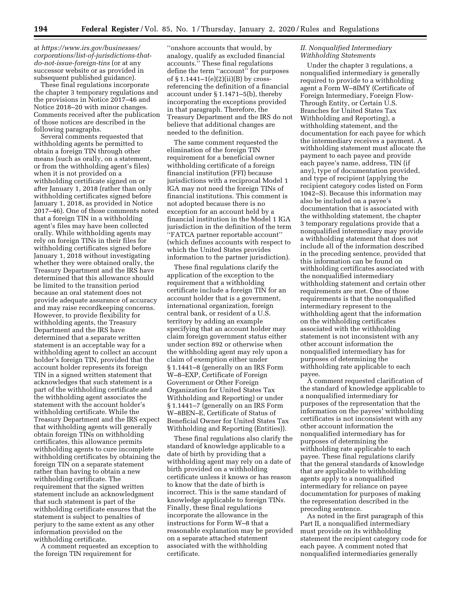at *[https://www.irs.gov/businesses/](https://www.irs.gov/businesses/corporations/list-of-jurisdictions-that-do-not-issue-foreign-tins) [corporations/list-of-jurisdictions-that](https://www.irs.gov/businesses/corporations/list-of-jurisdictions-that-do-not-issue-foreign-tins)[do-not-issue-foreign-tins](https://www.irs.gov/businesses/corporations/list-of-jurisdictions-that-do-not-issue-foreign-tins)* (or at any successor website or as provided in subsequent published guidance).

These final regulations incorporate the chapter 3 temporary regulations and the provisions in Notice 2017–46 and Notice 2018–20 with minor changes. Comments received after the publication of those notices are described in the following paragraphs.

Several comments requested that withholding agents be permitted to obtain a foreign TIN through other means (such as orally, on a statement, or from the withholding agent's files) when it is not provided on a withholding certificate signed on or after January 1, 2018 (rather than only withholding certificates signed before January 1, 2018, as provided in Notice 2017–46). One of those comments noted that a foreign TIN in a withholding agent's files may have been collected orally. While withholding agents may rely on foreign TINs in their files for withholding certificates signed before January 1, 2018 without investigating whether they were obtained orally, the Treasury Department and the IRS have determined that this allowance should be limited to the transition period because an oral statement does not provide adequate assurance of accuracy and may raise recordkeeping concerns. However, to provide flexibility for withholding agents, the Treasury Department and the IRS have determined that a separate written statement is an acceptable way for a withholding agent to collect an account holder's foreign TIN, provided that the account holder represents its foreign TIN in a signed written statement that acknowledges that such statement is a part of the withholding certificate and the withholding agent associates the statement with the account holder's withholding certificate. While the Treasury Department and the IRS expect that withholding agents will generally obtain foreign TINs on withholding certificates, this allowance permits withholding agents to cure incomplete withholding certificates by obtaining the foreign TIN on a separate statement rather than having to obtain a new withholding certificate. The requirement that the signed written statement include an acknowledgment that such statement is part of the withholding certificate ensures that the statement is subject to penalties of perjury to the same extent as any other information provided on the withholding certificate.

A comment requested an exception to the foreign TIN requirement for

''onshore accounts that would, by analogy, qualify as excluded financial accounts.'' These final regulations define the term ''account'' for purposes of  $\S 1.1441 - 1(e)(2)(ii)(B)$  by crossreferencing the definition of a financial account under § 1.1471–5(b), thereby incorporating the exceptions provided in that paragraph. Therefore, the Treasury Department and the IRS do not believe that additional changes are needed to the definition.

The same comment requested the elimination of the foreign TIN requirement for a beneficial owner withholding certificate of a foreign financial institution (FFI) because jurisdictions with a reciprocal Model 1 IGA may not need the foreign TINs of financial institutions. This comment is not adopted because there is no exception for an account held by a financial institution in the Model 1 IGA jurisdiction in the definition of the term ''FATCA partner reportable account'' (which defines accounts with respect to which the United States provides information to the partner jurisdiction).

These final regulations clarify the application of the exception to the requirement that a withholding certificate include a foreign TIN for an account holder that is a government, international organization, foreign central bank, or resident of a U.S. territory by adding an example specifying that an account holder may claim foreign government status either under section 892 or otherwise when the withholding agent may rely upon a claim of exemption either under § 1.1441–8 (generally on an IRS Form W–8–EXP, Certificate of Foreign Government or Other Foreign Organization for United States Tax Withholding and Reporting) or under § 1.1441–7 (generally on an IRS Form W–8BEN–E, Certificate of Status of Beneficial Owner for United States Tax Withholding and Reporting (Entities)).

These final regulations also clarify the standard of knowledge applicable to a date of birth by providing that a withholding agent may rely on a date of birth provided on a withholding certificate unless it knows or has reason to know that the date of birth is incorrect. This is the same standard of knowledge applicable to foreign TINs. Finally, these final regulations incorporate the allowance in the instructions for Form W–8 that a reasonable explanation may be provided on a separate attached statement associated with the withholding certificate.

## *II. Nonqualified Intermediary Withholding Statements*

Under the chapter 3 regulations, a nonqualified intermediary is generally required to provide to a withholding agent a Form W–8IMY (Certificate of Foreign Intermediary, Foreign Flow-Through Entity, or Certain U.S. Branches for United States Tax Withholding and Reporting), a withholding statement, and the documentation for each payee for which the intermediary receives a payment. A withholding statement must allocate the payment to each payee and provide each payee's name, address, TIN (if any), type of documentation provided, and type of recipient (applying the recipient category codes listed on Form 1042–S). Because this information may also be included on a payee's documentation that is associated with the withholding statement, the chapter 3 temporary regulations provide that a nonqualified intermediary may provide a withholding statement that does not include all of the information described in the preceding sentence, provided that this information can be found on withholding certificates associated with the nonqualified intermediary withholding statement and certain other requirements are met. One of those requirements is that the nonqualified intermediary represent to the withholding agent that the information on the withholding certificates associated with the withholding statement is not inconsistent with any other account information the nonqualified intermediary has for purposes of determining the withholding rate applicable to each payee.

A comment requested clarification of the standard of knowledge applicable to a nonqualified intermediary for purposes of the representation that the information on the payees' withholding certificates is not inconsistent with any other account information the nonqualified intermediary has for purposes of determining the withholding rate applicable to each payee. These final regulations clarify that the general standards of knowledge that are applicable to withholding agents apply to a nonqualified intermediary for reliance on payee documentation for purposes of making the representation described in the preceding sentence.

As noted in the first paragraph of this Part II, a nonqualified intermediary must provide on its withholding statement the recipient category code for each payee. A comment noted that nonqualified intermediaries generally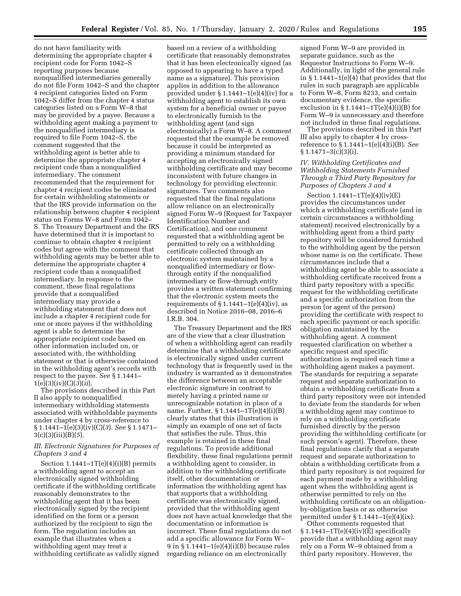do not have familiarity with determining the appropriate chapter 4 recipient code for Form 1042–S reporting purposes because nonqualified intermediaries generally do not file Form 1042–S and the chapter 4 recipient categories listed on Form 1042–S differ from the chapter 4 status categories listed on a Form W–8 that may be provided by a payee. Because a withholding agent making a payment to the nonqualified intermediary is required to file Form 1042–S, the comment suggested that the withholding agent is better able to determine the appropriate chapter 4 recipient code than a nonqualified intermediary. The comment recommended that the requirement for chapter 4 recipient codes be eliminated for certain withholding statements or that the IRS provide information on the relationship between chapter 4 recipient status on Forms W–8 and Form 1042– S. The Treasury Department and the IRS have determined that it is important to continue to obtain chapter 4 recipient codes but agree with the comment that withholding agents may be better able to determine the appropriate chapter 4 recipient code than a nonqualified intermediary. In response to the comment, these final regulations provide that a nonqualified intermediary may provide a withholding statement that does not include a chapter 4 recipient code for one or more payees if the withholding agent is able to determine the appropriate recipient code based on other information included on, or associated with, the withholding statement or that is otherwise contained in the withholding agent's records with respect to the payee. *See* § 1.1441– 1(e)(3)(iv)(C)(*3*)(*ii*).

The provisions described in this Part II also apply to nonqualified intermediary withholding statements associated with withholdable payments under chapter 4 by cross-reference to § 1.1441–1(e)(3)(iv)(C)(*3*). *See* § 1.1471– 3(c)(3)(iii)(B)(*5*).

## *III. Electronic Signatures for Purposes of Chapters 3 and 4*

Section  $1.1441 - 1T(e)(4)(i)(B)$  permits a withholding agent to accept an electronically signed withholding certificate if the withholding certificate reasonably demonstrates to the withholding agent that it has been electronically signed by the recipient identified on the form or a person authorized by the recipient to sign the form. The regulation includes an example that illustrates when a withholding agent may treat a withholding certificate as validly signed

based on a review of a withholding certificate that reasonably demonstrates that it has been electronically signed (as opposed to appearing to have a typed name as a signature). This provision applies in addition to the allowance provided under  $§ 1.1441-1(e)(4)(iv)$  for a withholding agent to establish its own system for a beneficial owner or payee to electronically furnish to the withholding agent (and sign electronically) a Form W–8. A comment requested that the example be removed because it could be interpreted as providing a minimum standard for accepting an electronically signed withholding certificate and may become inconsistent with future changes in technology for providing electronic signatures. Two comments also requested that the final regulations allow reliance on an electronically signed Form W–9 (Request for Taxpayer Identification Number and Certification), and one comment requested that a withholding agent be permitted to rely on a withholding certificate collected through an electronic system maintained by a nonqualified intermediary or flowthrough entity if the nonqualified intermediary or flow-through entity provides a written statement confirming that the electronic system meets the requirements of  $\S 1.1441-1(e)(4)(iv)$ , as described in Notice 2016–08, 2016–6 I.R.B. 304.

The Treasury Department and the IRS are of the view that a clear illustration of when a withholding agent can readily determine that a withholding certificate is electronically signed under current technology that is frequently used in the industry is warranted as it demonstrates the difference between an acceptable electronic signature in contrast to merely having a printed name or unrecognizable notation in place of a name. Further, § 1.1441–1T(e)(4)(i)(B) clearly states that this illustration is simply an example of one set of facts that satisfies the rule. Thus, this example is retained in these final regulations. To provide additional flexibility, these final regulations permit a withholding agent to consider, in addition to the withholding certificate itself, other documentation or information the withholding agent has that supports that a withholding certificate was electronically signed, provided that the withholding agent does not have actual knowledge that the documentation or information is incorrect. These final regulations do not add a specific allowance for Form W– 9 in § 1.1441–1(e)(4)(i)(B) because rules regarding reliance on an electronically

signed Form W–9 are provided in separate guidance, such as the Requestor Instructions to Form W–9. Additionally, in light of the general rule in  $§ 1.1441-1(e)(4)$  that provides that the rules in such paragraph are applicable to Form W–8, Form 8233, and certain documentary evidence, the specific exclusion in  $\S 1.1441 - 1T(e)(4)(i)(B)$  for Form W–9 is unnecessary and therefore not included in these final regulations.

The provisions described in this Part III also apply to chapter 4 by crossreference to § 1.1441–1(e)(4)(i)(B). *See*   $§ 1.1471 - 3(c)(3)(i).$ 

## *IV. Withholding Certificates and Withholding Statements Furnished Through a Third Party Repository for Purposes of Chapters 3 and 4*

Section 1.1441–1T(e)(4)(iv)(E) provides the circumstances under which a withholding certificate (and in certain circumstances a withholding statement) received electronically by a withholding agent from a third party repository will be considered furnished to the withholding agent by the person whose name is on the certificate. These circumstances include that a withholding agent be able to associate a withholding certificate received from a third party repository with a specific request for the withholding certificate and a specific authorization from the person (or agent of the person) providing the certificate with respect to each specific payment or each specific obligation maintained by the withholding agent. A comment requested clarification on whether a specific request and specific authorization is required each time a withholding agent makes a payment. The standards for requiring a separate request and separate authorization to obtain a withholding certificate from a third party repository were not intended to deviate from the standards for when a withholding agent may continue to rely on a withholding certificate furnished directly by the person providing the withholding certificate (or such person's agent). Therefore, these final regulations clarify that a separate request and separate authorization to obtain a withholding certificate from a third party repository is not required for each payment made by a withholding agent when the withholding agent is otherwise permitted to rely on the withholding certificate on an obligationby-obligation basis or as otherwise permitted under § 1.1441–1(e)(4)(ix).

Other comments requested that  $\S 1.1441 - 1T(e)(4)(iv)(E)$  specifically provide that a withholding agent may rely on a Form W–9 obtained from a third party repository. However, the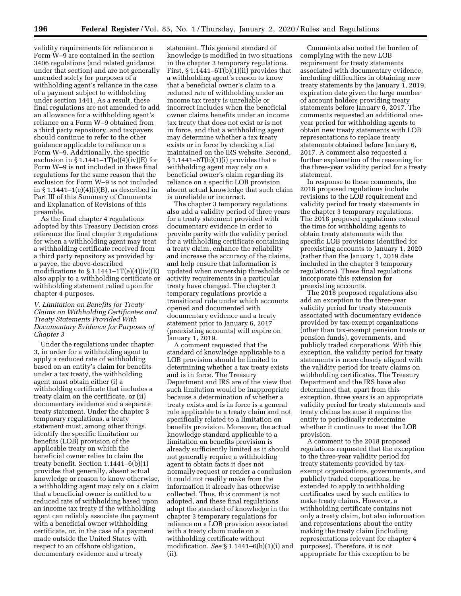validity requirements for reliance on a Form W–9 are contained in the section 3406 regulations (and related guidance under that section) and are not generally amended solely for purposes of a withholding agent's reliance in the case of a payment subject to withholding under section 1441. As a result, these final regulations are not amended to add an allowance for a withholding agent's reliance on a Form W–9 obtained from a third party repository, and taxpayers should continue to refer to the other guidance applicable to reliance on a Form W–9. Additionally, the specific exclusion in  $\S 1.1441 - 1T(e)(4)(iv)(E)$  for Form W–9 is not included in these final regulations for the same reason that the exclusion for Form W–9 is not included in  $\S 1.1441-1(e)(4)(i)(B)$ , as described in Part III of this Summary of Comments and Explanation of Revisions of this preamble.

As the final chapter 4 regulations adopted by this Treasury Decision cross reference the final chapter 3 regulations for when a withholding agent may treat a withholding certificate received from a third party repository as provided by a payee, the above-described modifications to  $\S 1.1441 - 1T(e)(4)(iv)(E)$ also apply to a withholding certificate or withholding statement relied upon for chapter 4 purposes.

## *V. Limitation on Benefits for Treaty Claims on Withholding Certificates and Treaty Statements Provided With Documentary Evidence for Purposes of Chapter 3*

Under the regulations under chapter 3, in order for a withholding agent to apply a reduced rate of withholding based on an entity's claim for benefits under a tax treaty, the withholding agent must obtain either (i) a withholding certificate that includes a treaty claim on the certificate, or (ii) documentary evidence and a separate treaty statement. Under the chapter 3 temporary regulations, a treaty statement must, among other things, identify the specific limitation on benefits (LOB) provision of the applicable treaty on which the beneficial owner relies to claim the treaty benefit. Section 1.1441–6(b)(1) provides that generally, absent actual knowledge or reason to know otherwise, a withholding agent may rely on a claim that a beneficial owner is entitled to a reduced rate of withholding based upon an income tax treaty if the withholding agent can reliably associate the payment with a beneficial owner withholding certificate, or, in the case of a payment made outside the United States with respect to an offshore obligation, documentary evidence and a treaty

statement. This general standard of knowledge is modified in two situations in the chapter 3 temporary regulations. First,  $\S 1.1441 - 6T(b)(1)(ii)$  provides that a withholding agent's reason to know that a beneficial owner's claim to a reduced rate of withholding under an income tax treaty is unreliable or incorrect includes when the beneficial owner claims benefits under an income tax treaty that does not exist or is not in force, and that a withholding agent may determine whether a tax treaty exists or in force by checking a list maintained on the IRS website. Second,  $§ 1.1441-6T(b)(1)(i)$  provides that a withholding agent may rely on a beneficial owner's claim regarding its reliance on a specific LOB provision absent actual knowledge that such claim is unreliable or incorrect.

The chapter 3 temporary regulations also add a validity period of three years for a treaty statement provided with documentary evidence in order to provide parity with the validity period for a withholding certificate containing a treaty claim, enhance the reliability and increase the accuracy of the claims, and help ensure that information is updated when ownership thresholds or activity requirements in a particular treaty have changed. The chapter 3 temporary regulations provide a transitional rule under which accounts opened and documented with documentary evidence and a treaty statement prior to January 6, 2017 (preexisting accounts) will expire on January 1, 2019.

A comment requested that the standard of knowledge applicable to a LOB provision should be limited to determining whether a tax treaty exists and is in force. The Treasury Department and IRS are of the view that such limitation would be inappropriate because a determination of whether a treaty exists and is in force is a general rule applicable to a treaty claim and not specifically related to a limitation on benefits provision. Moreover, the actual knowledge standard applicable to a limitation on benefits provision is already sufficiently limited as it should not generally require a withholding agent to obtain facts it does not normally request or render a conclusion it could not readily make from the information it already has otherwise collected. Thus, this comment is not adopted, and these final regulations adopt the standard of knowledge in the chapter 3 temporary regulations for reliance on a LOB provision associated with a treaty claim made on a withholding certificate without modification. *See* § 1.1441–6(b)(1)(i) and (ii).

Comments also noted the burden of complying with the new LOB requirement for treaty statements associated with documentary evidence, including difficulties in obtaining new treaty statements by the January 1, 2019, expiration date given the large number of account holders providing treaty statements before January 6, 2017. The comments requested an additional oneyear period for withholding agents to obtain new treaty statements with LOB representations to replace treaty statements obtained before January 6, 2017. A comment also requested a further explanation of the reasoning for the three-year validity period for a treaty statement.

In response to these comments, the 2018 proposed regulations include revisions to the LOB requirement and validity period for treaty statements in the chapter 3 temporary regulations. The 2018 proposed regulations extend the time for withholding agents to obtain treaty statements with the specific LOB provisions identified for preexisting accounts to January 1, 2020 (rather than the January 1, 2019 date included in the chapter 3 temporary regulations). These final regulations incorporate this extension for preexisting accounts.

The 2018 proposed regulations also add an exception to the three-year validity period for treaty statements associated with documentary evidence provided by tax-exempt organizations (other than tax-exempt pension trusts or pension funds), governments, and publicly traded corporations. With this exception, the validity period for treaty statements is more closely aligned with the validity period for treaty claims on withholding certificates. The Treasury Department and the IRS have also determined that, apart from this exception, three years is an appropriate validity period for treaty statements and treaty claims because it requires the entity to periodically redetermine whether it continues to meet the LOB provision.

A comment to the 2018 proposed regulations requested that the exception to the three-year validity period for treaty statements provided by taxexempt organizations, governments, and publicly traded corporations, be extended to apply to withholding certificates used by such entities to make treaty claims. However, a withholding certificate contains not only a treaty claim, but also information and representations about the entity making the treaty claim (including representations relevant for chapter 4 purposes). Therefore, it is not appropriate for this exception to be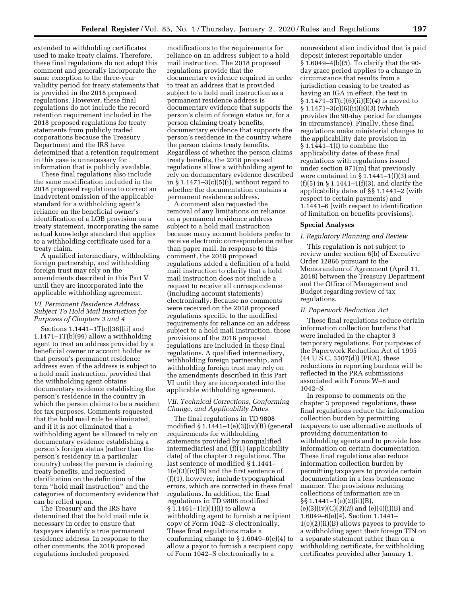extended to withholding certificates used to make treaty claims. Therefore, these final regulations do not adopt this comment and generally incorporate the same exception to the three-year validity period for treaty statements that is provided in the 2018 proposed regulations. However, these final regulations do not include the record retention requirement included in the 2018 proposed regulations for treaty statements from publicly traded corporations because the Treasury Department and the IRS have determined that a retention requirement in this case is unnecessary for information that is publicly available.

These final regulations also include the same modification included in the 2018 proposed regulations to correct an inadvertent omission of the applicable standard for a withholding agent's reliance on the beneficial owner's identification of a LOB provision on a treaty statement, incorporating the same actual knowledge standard that applies to a withholding certificate used for a treaty claim.

A qualified intermediary, withholding foreign partnership, and withholding foreign trust may rely on the amendments described in this Part V until they are incorporated into the applicable withholding agreement.

## *VI. Permanent Residence Address Subject To Hold Mail Instruction for Purposes of Chapters 3 and 4*

Sections 1.1441–1T(c)(38)(ii) and 1.1471–1T(b)(99) allow a withholding agent to treat an address provided by a beneficial owner or account holder as that person's permanent residence address even if the address is subject to a hold mail instruction, provided that the withholding agent obtains documentary evidence establishing the person's residence in the country in which the person claims to be a resident for tax purposes. Comments requested that the hold mail rule be eliminated, and if it is not eliminated that a withholding agent be allowed to rely on documentary evidence establishing a person's foreign status (rather than the person's residency in a particular country) unless the person is claiming treaty benefits, and requested clarification on the definition of the term ''hold mail instruction'' and the categories of documentary evidence that can be relied upon.

The Treasury and the IRS have determined that the hold mail rule is necessary in order to ensure that taxpayers identify a true permanent residence address. In response to the other comments, the 2018 proposed regulations included proposed

modifications to the requirements for reliance on an address subject to a hold mail instruction. The 2018 proposed regulations provide that the documentary evidence required in order to treat an address that is provided subject to a hold mail instruction as a permanent residence address is documentary evidence that supports the person's claim of foreign status or, for a person claiming treaty benefits, documentary evidence that supports the person's residence in the country where the person claims treaty benefits. Regardless of whether the person claims treaty benefits, the 2018 proposed regulations allow a withholding agent to rely on documentary evidence described in  $\S 1.1471-3(c)(5)(i)$ , without regard to whether the documentation contains a permanent residence address.

A comment also requested the removal of any limitations on reliance on a permanent residence address subject to a hold mail instruction because many account holders prefer to receive electronic correspondence rather than paper mail. In response to this comment, the 2018 proposed regulations added a definition of a hold mail instruction to clarify that a hold mail instruction does not include a request to receive all correspondence (including account statements) electronically. Because no comments were received on the 2018 proposed regulations specific to the modified requirements for reliance on an address subject to a hold mail instruction, those provisions of the 2018 proposed regulations are included in these final regulations. A qualified intermediary, withholding foreign partnership, and withholding foreign trust may rely on the amendments described in this Part VI until they are incorporated into the applicable withholding agreement.

## *VII. Technical Corrections, Conforming Change, and Applicability Dates*

The final regulations in TD 9808 modified  $\S 1.1441-1(e)(3)(iv)(B)$  (general requirements for withholding statements provided by nonqualified intermediaries) and (f)(1) (applicability date) of the chapter 3 regulations. The last sentence of modified § 1.1441– 1(e)(3)(iv)(B) and the first sentence of (f)(1), however, include typographical errors, which are corrected in these final regulations. In addition, the final regulations in TD 9808 modified  $§ 1.1461-1(c)(1)(i)$  to allow a withholding agent to furnish a recipient copy of Form 1042–S electronically. These final regulations make a conforming change to § 1.6049–6(e)(4) to allow a payor to furnish a recipient copy of Form 1042–S electronically to a

nonresident alien individual that is paid deposit interest reportable under § 1.6049–4(b)(5). To clarify that the 90 day grace period applies to a change in circumstance that results from a jurisdiction ceasing to be treated as having an IGA in effect, the text in § 1.1471–3T(c)(6)(ii)(E)(*4*) is moved to § 1.1471–3(c)(6)(ii)(E)(*3*) (which provides the 90-day period for changes in circumstance). Finally, these final regulations make ministerial changes to the applicability date provision in § 1.1441–1(f) to combine the applicability dates of these final regulations with regulations issued under section 871(m) that previously were contained in  $\S 1.1441 - 1(f)(3)$  and (f)(5) in § 1.1441–1(f)(3), and clarify the applicability dates of §§ 1.1441–2 (with respect to certain payments) and 1.1441–6 (with respect to identification of limitation on benefits provisions).

#### **Special Analyses**

## *I. Regulatory Planning and Review*

This regulation is not subject to review under section 6(b) of Executive Order 12866 pursuant to the Memorandum of Agreement (April 11, 2018) between the Treasury Department and the Office of Management and Budget regarding review of tax regulations.

## *II. Paperwork Reduction Act*

These final regulations reduce certain information collection burdens that were included in the chapter 3 temporary regulations. For purposes of the Paperwork Reduction Act of 1995 (44 U.S.C. 3507(d)) (PRA), these reductions in reporting burdens will be reflected in the PRA submissions associated with Forms W–8 and 1042–S.

In response to comments on the chapter 3 proposed regulations, these final regulations reduce the information collection burden by permitting taxpayers to use alternative methods of providing documentation to withholding agents and to provide less information on certain documentation. These final regulations also reduce information collection burden by permitting taxpayers to provide certain documentation in a less burdensome manner. The provisions reducing collections of information are in §§ 1.1441–1(e)(2)(ii)(B),

(e)(3)(iv)(C)(*3*)(*ii*) and (e)(4)(i)(B) and 1.6049–6(e)(4). Section 1.1441– 1(e)(2)(ii)(B) allows payees to provide to a withholding agent their foreign TIN on a separate statement rather than on a withholding certificate, for withholding certificates provided after January 1,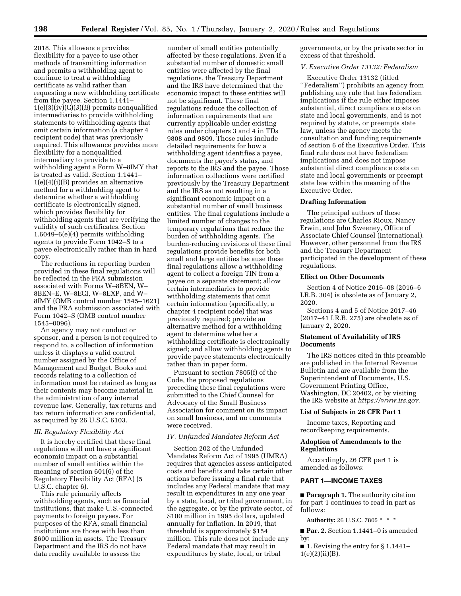2018. This allowance provides flexibility for a payee to use other methods of transmitting information and permits a withholding agent to continue to treat a withholding certificate as valid rather than requesting a new withholding certificate from the payee. Section 1.1441– 1(e)(3)(iv)(C)(*3*)(*ii*) permits nonqualified intermediaries to provide withholding statements to withholding agents that omit certain information (a chapter 4 recipient code) that was previously required. This allowance provides more flexibility for a nonqualified intermediary to provide to a withholding agent a Form W–8IMY that is treated as valid. Section 1.1441– 1(e)(4)(i)(B) provides an alternative method for a withholding agent to determine whether a withholding certificate is electronically signed, which provides flexibility for withholding agents that are verifying the validity of such certificates. Section 1.6049–6(e)(4) permits withholding agents to provide Form 1042–S to a payee electronically rather than in hard copy.

The reductions in reporting burden provided in these final regulations will be reflected in the PRA submission associated with Forms W–8BEN, W– 8BEN–E, W–8ECI, W–8EXP, and W– 8IMY (OMB control number 1545–1621) and the PRA submission associated with Form 1042–S (OMB control number 1545–0096).

An agency may not conduct or sponsor, and a person is not required to respond to, a collection of information unless it displays a valid control number assigned by the Office of Management and Budget. Books and records relating to a collection of information must be retained as long as their contents may become material in the administration of any internal revenue law. Generally, tax returns and tax return information are confidential, as required by 26 U.S.C. 6103.

## *III. Regulatory Flexibility Act*

It is hereby certified that these final regulations will not have a significant economic impact on a substantial number of small entities within the meaning of section 601(6) of the Regulatory Flexibility Act (RFA) (5 U.S.C. chapter 6).

This rule primarily affects withholding agents, such as financial institutions, that make U.S.-connected payments to foreign payees. For purposes of the RFA, small financial institutions are those with less than \$600 million in assets. The Treasury Department and the IRS do not have data readily available to assess the

number of small entities potentially affected by these regulations. Even if a substantial number of domestic small entities were affected by the final regulations, the Treasury Department and the IRS have determined that the economic impact to these entities will not be significant. These final regulations reduce the collection of information requirements that are currently applicable under existing rules under chapters 3 and 4 in TDs 9808 and 9809. Those rules include detailed requirements for how a withholding agent identifies a payee, documents the payee's status, and reports to the IRS and the payee. Those information collections were certified previously by the Treasury Department and the IRS as not resulting in a significant economic impact on a substantial number of small business entities. The final regulations include a limited number of changes to the temporary regulations that reduce the burden of withholding agents. The burden-reducing revisions of these final regulations provide benefits for both small and large entities because these final regulations allow a withholding agent to collect a foreign TIN from a payee on a separate statement; allow certain intermediaries to provide withholding statements that omit certain information (specifically, a chapter 4 recipient code) that was previously required; provide an alternative method for a withholding agent to determine whether a withholding certificate is electronically signed; and allow withholding agents to provide payee statements electronically rather than in paper form.

Pursuant to section 7805(f) of the Code, the proposed regulations preceding these final regulations were submitted to the Chief Counsel for Advocacy of the Small Business Association for comment on its impact on small business, and no comments were received.

## *IV. Unfunded Mandates Reform Act*

Section 202 of the Unfunded Mandates Reform Act of 1995 (UMRA) requires that agencies assess anticipated costs and benefits and take certain other actions before issuing a final rule that includes any Federal mandate that may result in expenditures in any one year by a state, local, or tribal government, in the aggregate, or by the private sector, of \$100 million in 1995 dollars, updated annually for inflation. In 2019, that threshold is approximately \$154 million. This rule does not include any Federal mandate that may result in expenditures by state, local, or tribal

governments, or by the private sector in excess of that threshold.

#### *V. Executive Order 13132: Federalism*

Executive Order 13132 (titled ''Federalism'') prohibits an agency from publishing any rule that has federalism implications if the rule either imposes substantial, direct compliance costs on state and local governments, and is not required by statute, or preempts state law, unless the agency meets the consultation and funding requirements of section 6 of the Executive Order. This final rule does not have federalism implications and does not impose substantial direct compliance costs on state and local governments or preempt state law within the meaning of the Executive Order.

#### **Drafting Information**

The principal authors of these regulations are Charles Rioux, Nancy Erwin, and John Sweeney, Office of Associate Chief Counsel (International). However, other personnel from the IRS and the Treasury Department participated in the development of these regulations.

#### **Effect on Other Documents**

Section 4 of Notice 2016–08 (2016–6 I.R.B. 304) is obsolete as of January 2, 2020.

Sections 4 and 5 of Notice 2017–46 (2017–41 I.R.B. 275) are obsolete as of January 2, 2020.

#### **Statement of Availability of IRS Documents**

The IRS notices cited in this preamble are published in the Internal Revenue Bulletin and are available from the Superintendent of Documents, U.S. Government Printing Office, Washington, DC 20402, or by visiting the IRS website at *<https://www.irs.gov>*.

#### **List of Subjects in 26 CFR Part 1**

Income taxes, Reporting and recordkeeping requirements.

## **Adoption of Amendments to the Regulations**

Accordingly, 26 CFR part 1 is amended as follows:

## **PART 1—INCOME TAXES**

■ **Paragraph 1.** The authority citation for part 1 continues to read in part as follows:

**Authority:** 26 U.S.C. 7805 \* \* \*

■ **Par. 2.** Section 1.1441–0 is amended by:

■ 1. Revising the entry for § 1.1441–  $1(e)(2)(ii)(B)$ .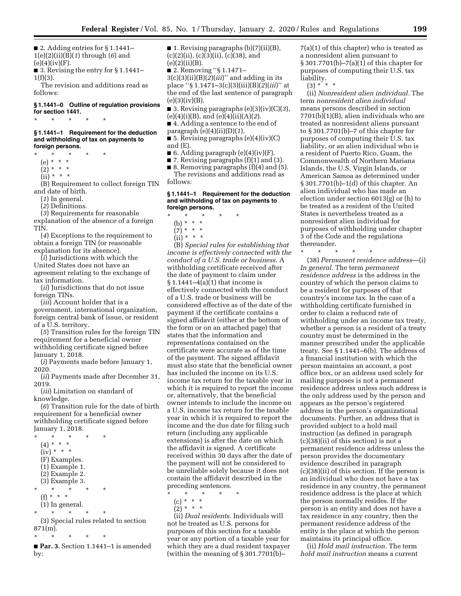■ 2. Adding entries for § 1.1441– 1(e)(2)(ii)(B)(*1*) through (*6*) and  $(e)(4)(iv)(F).$ 

■ 3. Revising the entry for § 1.1441–  $1(f)(3)$ .

The revision and additions read as follows:

#### **§ 1.1441–0 Outline of regulation provisions for section 1441.**

## **§ 1.1441–1 Requirement for the deduction and withholding of tax on payments to foreign persons.**

\* \* \* \* \*

\* \* \* \* \*

- (e) \* \* \*
- $(2) * * * *$
- $(ii) * * * *$

(B) Requirement to collect foreign TIN and date of birth.

(*1*) In general.

(*2*) Definitions.

(*3*) Requirements for reasonable explanation of the absence of a foreign TIN.

(*4*) Exceptions to the requirement to obtain a foreign TIN (or reasonable explanation for its absence).

(*i*) Jurisdictions with which the United States does not have an agreement relating to the exchange of tax information.

(*ii*) Jurisdictions that do not issue foreign TINs.

(*iii*) Account holder that is a government, international organization, foreign central bank of issue, or resident of a U.S. territory.

(*5*) Transition rules for the foreign TIN requirement for a beneficial owner withholding certificate signed before January 1, 2018.

(*i*) Payments made before January 1, 2020.

(*ii*) Payments made after December 31, 2019.

(*iii*) Limitation on standard of knowledge.

(*6*) Transition rule for the date of birth requirement for a beneficial owner withholding certificate signed before January 1, 2018.

- $*$  \*  $(4) * * * *$  $(iv) * * * *$ (F) Examples. (1) Example 1. (2) Example 2. (3) Example 3. \* \* \* \* \* (f) \* \* \* (1) In general. \* \* \* \* \* (3) Special rules related to section
- 871(m). \* \* \* \* \*

■ **Par. 3.** Section 1.1441–1 is amended by:

■ 1. Revising paragraphs  $(b)(7)(ii)(B)$ ,  $(c)(2)(ii)$ ,  $(c)(3)(ii)$ ,  $(c)(38)$ , and  $(e)(2)(ii)(B).$ 

■ 2. Removing "§ 1.1471–  $3(c)(3)(ii)(B)(2)(iii)'$  and adding in its place ''§ 1.1471–3(c)(3)(iii)(B)(*2*)(*iii*)'' at the end of the last sentence of paragraph  $(e)(3)(iv)(B).$ 

■ 3. Revising paragraphs  $(e)(3)(iv)(C)(3)$ , (e)(4)(i)(B), and (e)(4)(ii)(A)(*2*).

- 4. Adding a sentence to the end of paragraph (e)(4)(ii)(D)(*1*).
- 5. Revising paragraphs  $(e)(4)(iv)(C)$ and (E).
- 6. Adding paragraph  $(e)(4)(iv)$ (F).
- 7. Revising paragraphs (f)(1) and (3).
- 8. Removing paragraphs (f)(4) and (5). The revisions and additions read as follows:

#### **§ 1.1441–1 Requirement for the deduction and withholding of tax on payments to foreign persons.**

- \* \* \* \* \*
- (b) \* \* \*
- $(7) * * * *$
- $(ii) * * * *$

(B) *Special rules for establishing that income is effectively connected with the conduct of a U.S. trade or business.* A withholding certificate received after the date of payment to claim under § 1.1441–4(a)(1) that income is effectively connected with the conduct of a U.S. trade or business will be considered effective as of the date of the payment if the certificate contains a signed affidavit (either at the bottom of the form or on an attached page) that states that the information and representations contained on the certificate were accurate as of the time of the payment. The signed affidavit must also state that the beneficial owner has included the income on its U.S. income tax return for the taxable year in which it is required to report the income or, alternatively, that the beneficial owner intends to include the income on a U.S. income tax return for the taxable year in which it is required to report the income and the due date for filing such return (including any applicable extensions) is after the date on which the affidavit is signed. A certificate received within 30 days after the date of the payment will not be considered to be unreliable solely because it does not contain the affidavit described in the preceding sentences.

\* \* \* \* \*

- $(c) * * * *$
- $(2) * * * *$

(ii) *Dual residents.* Individuals will not be treated as U.S. persons for purposes of this section for a taxable year or any portion of a taxable year for which they are a dual resident taxpayer (within the meaning of § 301.7701(b)–

7(a)(1) of this chapter) who is treated as a nonresident alien pursuant to § 301.7701(b)–7(a)(1) of this chapter for purposes of computing their U.S. tax liability.

 $(3) * * * *$ 

(ii) *Nonresident alien individual.* The term *nonresident alien individual*  means persons described in section 7701(b)(1)(B), alien individuals who are treated as nonresident aliens pursuant to § 301.7701(b)–7 of this chapter for purposes of computing their U.S. tax liability, or an alien individual who is a resident of Puerto Rico, Guam, the Commonwealth of Northern Mariana Islands, the U.S. Virgin Islands, or American Samoa as determined under § 301.7701(b)–1(d) of this chapter. An alien individual who has made an election under section 6013(g) or (h) to be treated as a resident of the United States is nevertheless treated as a nonresident alien individual for purposes of withholding under chapter 3 of the Code and the regulations thereunder.

\* \* \* \* \*

(38) *Permanent residence address*—(i) *In general.* The term *permanent residence address* is the address in the country of which the person claims to be a resident for purposes of that country's income tax. In the case of a withholding certificate furnished in order to claim a reduced rate of withholding under an income tax treaty, whether a person is a resident of a treaty country must be determined in the manner prescribed under the applicable treaty. See § 1.1441–6(b). The address of a financial institution with which the person maintains an account, a post office box, or an address used solely for mailing purposes is not a permanent residence address unless such address is the only address used by the person and appears as the person's registered address in the person's organizational documents. Further, an address that is provided subject to a hold mail instruction (as defined in paragraph (c)(38)(ii) of this section) is not a permanent residence address unless the person provides the documentary evidence described in paragraph (c)(38)(ii) of this section. If the person is an individual who does not have a tax residence in any country, the permanent residence address is the place at which the person normally resides. If the person is an entity and does not have a tax residence in any country, then the permanent residence address of the entity is the place at which the person maintains its principal office.

(ii) *Hold mail instruction.* The term *hold mail instruction* means a current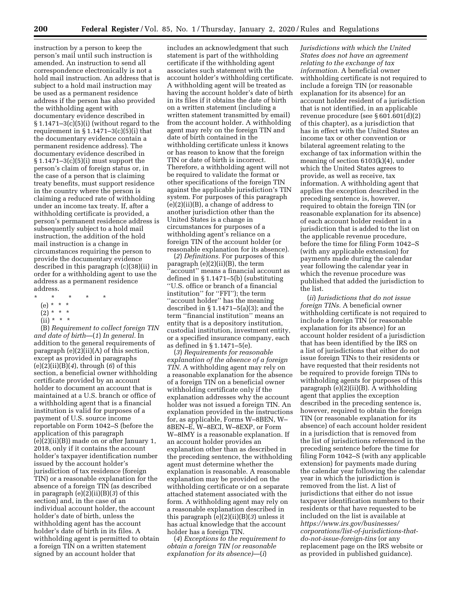instruction by a person to keep the person's mail until such instruction is amended. An instruction to send all correspondence electronically is not a hold mail instruction. An address that is subject to a hold mail instruction may be used as a permanent residence address if the person has also provided the withholding agent with documentary evidence described in  $§ 1.1471-3(c)(5)(i)$  (without regard to the requirement in  $\S 1.1471 - 3(c)(5)(i)$  that the documentary evidence contain a permanent residence address). The documentary evidence described in § 1.1471–3(c)(5)(i) must support the person's claim of foreign status or, in the case of a person that is claiming treaty benefits, must support residence in the country where the person is claiming a reduced rate of withholding under an income tax treaty. If, after a withholding certificate is provided, a person's permanent residence address is subsequently subject to a hold mail instruction, the addition of the hold mail instruction is a change in circumstances requiring the person to provide the documentary evidence described in this paragraph (c)(38)(ii) in order for a withholding agent to use the address as a permanent residence address.

- \* \* \* \* \*
	- (e) \* \* \*
	- $(2)^*$  \* \*
	- $(ii) * * * *$

(B) *Requirement to collect foreign TIN and date of birth*—(*1*) *In general.* In addition to the general requirements of paragraph (e)(2)(ii)(A) of this section, except as provided in paragraphs (e)(2)(ii)(B)(*4*), through (*6*) of this section, a beneficial owner withholding certificate provided by an account holder to document an account that is maintained at a U.S. branch or office of a withholding agent that is a financial institution is valid for purposes of a payment of U.S. source income reportable on Form 1042–S (before the application of this paragraph (e)(2)(ii)(B)) made on or after January 1, 2018, only if it contains the account holder's taxpayer identification number issued by the account holder's jurisdiction of tax residence (foreign TIN) or a reasonable explanation for the absence of a foreign TIN (as described in paragraph (e)(2)(ii)(B)(*3*) of this section) and, in the case of an individual account holder, the account holder's date of birth, unless the withholding agent has the account holder's date of birth in its files. A withholding agent is permitted to obtain a foreign TIN on a written statement signed by an account holder that

includes an acknowledgment that such statement is part of the withholding certificate if the withholding agent associates such statement with the account holder's withholding certificate. A withholding agent will be treated as having the account holder's date of birth in its files if it obtains the date of birth on a written statement (including a written statement transmitted by email) from the account holder. A withholding agent may rely on the foreign TIN and date of birth contained in the withholding certificate unless it knows or has reason to know that the foreign TIN or date of birth is incorrect. Therefore, a withholding agent will not be required to validate the format or other specifications of the foreign TIN against the applicable jurisdiction's TIN system. For purposes of this paragraph  $(e)(2)(ii)(B)$ , a change of address to another jurisdiction other than the United States is a change in circumstances for purposes of a withholding agent's reliance on a foreign TIN of the account holder (or reasonable explanation for its absence).

(*2*) *Definitions.* For purposes of this paragraph (e)(2)(ii)(B), the term 'account'' means a financial account as defined in § 1.1471–5(b) (substituting ''U.S. office or branch of a financial institution'' for ''FFI''); the term ''account holder'' has the meaning described in § 1.1471–5(a)(3); and the term ''financial institution'' means an entity that is a depository institution, custodial institution, investment entity, or a specified insurance company, each as defined in § 1.1471–5(e).

(*3*) *Requirements for reasonable explanation of the absence of a foreign TIN.* A withholding agent may rely on a reasonable explanation for the absence of a foreign TIN on a beneficial owner withholding certificate only if the explanation addresses why the account holder was not issued a foreign TIN. An explanation provided in the instructions for, as applicable, Forms W–8BEN, W– 8BEN–E, W–8ECI, W–8EXP, or Form W–8IMY is a reasonable explanation. If an account holder provides an explanation other than as described in the preceding sentence, the withholding agent must determine whether the explanation is reasonable. A reasonable explanation may be provided on the withholding certificate or on a separate attached statement associated with the form. A withholding agent may rely on a reasonable explanation described in this paragraph (e)(2)(ii)(B)(*3*) unless it has actual knowledge that the account holder has a foreign TIN.

(*4*) *Exceptions to the requirement to obtain a foreign TIN (or reasonable explanation for its absence)*—(*i*)

*Jurisdictions with which the United States does not have an agreement relating to the exchange of tax information.* A beneficial owner withholding certificate is not required to include a foreign TIN (or reasonable explanation for its absence) for an account holder resident of a jurisdiction that is not identified, in an applicable revenue procedure (see § 601.601(d)(2) of this chapter), as a jurisdiction that has in effect with the United States an income tax or other convention or bilateral agreement relating to the exchange of tax information within the meaning of section 6103(k)(4), under which the United States agrees to provide, as well as receive, tax information. A withholding agent that applies the exception described in the preceding sentence is, however, required to obtain the foreign TIN (or reasonable explanation for its absence) of each account holder resident in a jurisdiction that is added to the list on the applicable revenue procedure, before the time for filing Form 1042–S (with any applicable extension) for payments made during the calendar year following the calendar year in which the revenue procedure was published that added the jurisdiction to the list.

(*ii*) *Jurisdictions that do not issue foreign TINs.* A beneficial owner withholding certificate is not required to include a foreign TIN (or reasonable explanation for its absence) for an account holder resident of a jurisdiction that has been identified by the IRS on a list of jurisdictions that either do not issue foreign TINs to their residents or have requested that their residents not be required to provide foreign TINs to withholding agents for purposes of this paragraph (e)(2)(ii)(B). A withholding agent that applies the exception described in the preceding sentence is, however, required to obtain the foreign TIN (or reasonable explanation for its absence) of each account holder resident in a jurisdiction that is removed from the list of jurisdictions referenced in the preceding sentence before the time for filing Form 1042–S (with any applicable extension) for payments made during the calendar year following the calendar year in which the jurisdiction is removed from the list. A list of jurisdictions that either do not issue taxpayer identification numbers to their residents or that have requested to be included on the list is available at *[https://www.irs.gov/businesses/](https://www.irs.gov/businesses/corporations/list-of-jurisdictions-that-do-not-issue-foreign-tins) [corporations/list-of-jurisdictions-that](https://www.irs.gov/businesses/corporations/list-of-jurisdictions-that-do-not-issue-foreign-tins)[do-not-issue-foreign-tins](https://www.irs.gov/businesses/corporations/list-of-jurisdictions-that-do-not-issue-foreign-tins)* (or any replacement page on the IRS website or as provided in published guidance).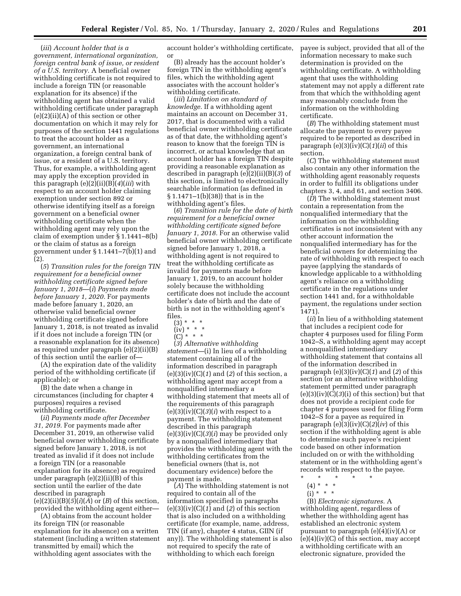(*iii*) *Account holder that is a government, international organization, foreign central bank of issue, or resident of a U.S. territory.* A beneficial owner withholding certificate is not required to include a foreign TIN (or reasonable explanation for its absence) if the withholding agent has obtained a valid withholding certificate under paragraph (e)(2)(ii)(A) of this section or other documentation on which it may rely for purposes of the section 1441 regulations to treat the account holder as a government, an international organization, a foreign central bank of issue, or a resident of a U.S. territory. Thus, for example, a withholding agent may apply the exception provided in this paragraph (e)(2)(ii)(B)(*4*)(*iii*) with respect to an account holder claiming exemption under section 892 or otherwise identifying itself as a foreign government on a beneficial owner withholding certificate when the withholding agent may rely upon the claim of exemption under § 1.1441–8(b) or the claim of status as a foreign government under § 1.1441–7(b)(1) and (2).

(*5*) *Transition rules for the foreign TIN requirement for a beneficial owner withholding certificate signed before January 1, 2018*—(*i*) *Payments made before January 1, 2020.* For payments made before January 1, 2020, an otherwise valid beneficial owner withholding certificate signed before January 1, 2018, is not treated as invalid if it does not include a foreign TIN (or a reasonable explanation for its absence) as required under paragraph (e)(2)(ii)(B) of this section until the earlier of—

(A) the expiration date of the validity period of the withholding certificate (if applicable); or

(B) the date when a change in circumstances (including for chapter 4 purposes) requires a revised withholding certificate.

(*ii*) *Payments made after December 31, 2019.* For payments made after December 31, 2019, an otherwise valid beneficial owner withholding certificate signed before January 1, 2018, is not treated as invalid if it does not include a foreign TIN (or a reasonable explanation for its absence) as required under paragraph (e)(2)(ii)(B) of this section until the earlier of the date described in paragraph  $(e)(2)(ii)(B)(5)(i)(A)$  or  $(B)$  of this section, provided the withholding agent either—

(A) obtains from the account holder its foreign TIN (or reasonable explanation for its absence) on a written statement (including a written statement transmitted by email) which the withholding agent associates with the

account holder's withholding certificate, or

(B) already has the account holder's foreign TIN in the withholding agent's files, which the withholding agent associates with the account holder's withholding certificate.

(*iii*) *Limitation on standard of knowledge.* If a withholding agent maintains an account on December 31, 2017, that is documented with a valid beneficial owner withholding certificate as of that date, the withholding agent's reason to know that the foreign TIN is incorrect, or actual knowledge that an account holder has a foreign TIN despite providing a reasonable explanation as described in paragraph (e)(2)(ii)(B)(*3*) of this section, is limited to electronically searchable information (as defined in § 1.1471–1(b)(38)) that is in the withholding agent's files.

(*6*) *Transition rule for the date of birth requirement for a beneficial owner withholding certificate signed before January 1, 2018.* For an otherwise valid beneficial owner withholding certificate signed before January 1, 2018, a withholding agent is not required to treat the withholding certificate as invalid for payments made before January 1, 2019, to an account holder solely because the withholding certificate does not include the account holder's date of birth and the date of birth is not in the withholding agent's files.

- $(3) * * * *$
- $(iv) * * * *$
- $(C)^{' *}$  \* \*

(*3*) *Alternative withholding statement*—(i) In lieu of a withholding statement containing all of the information described in paragraph (e)(3)(iv)(C)(*1*) and (*2*) of this section, a withholding agent may accept from a nonqualified intermediary a withholding statement that meets all of the requirements of this paragraph  $(e)(3)(iv)(C)(3)(i)$  with respect to a payment. The withholding statement described in this paragraph (e)(3)(iv)(C)(*3*)(*i*) may be provided only by a nonqualified intermediary that provides the withholding agent with the withholding certificates from the beneficial owners (that is, not documentary evidence) before the payment is made.

(*A*) The withholding statement is not required to contain all of the information specified in paragraphs (e)(3)(iv)(C)(*1*) and (*2*) of this section that is also included on a withholding certificate (for example, name, address, TIN (if any), chapter 4 status, GIIN (if any)). The withholding statement is also not required to specify the rate of withholding to which each foreign

payee is subject, provided that all of the information necessary to make such determination is provided on the withholding certificate. A withholding agent that uses the withholding statement may not apply a different rate from that which the withholding agent may reasonably conclude from the information on the withholding certificate.

(*B*) The withholding statement must allocate the payment to every payee required to be reported as described in paragraph (e)(3)(iv)(C)(*1*)(*ii*) of this section.

(*C*) The withholding statement must also contain any other information the withholding agent reasonably requests in order to fulfill its obligations under chapters 3, 4, and 61, and section 3406.

(*D*) The withholding statement must contain a representation from the nonqualified intermediary that the information on the withholding certificates is not inconsistent with any other account information the nonqualified intermediary has for the beneficial owners for determining the rate of withholding with respect to each payee (applying the standards of knowledge applicable to a withholding agent's reliance on a withholding certificate in the regulations under section 1441 and, for a withholdable payment, the regulations under section 1471).

(*ii*) In lieu of a withholding statement that includes a recipient code for chapter 4 purposes used for filing Form 1042–S, a withholding agent may accept a nonqualified intermediary withholding statement that contains all of the information described in paragraph (e)(3)(iv)(C)(*1*) and (*2*) of this section (or an alternative withholding statement permitted under paragraph (e)(3)(iv)(C)(*3*)(i) of this section) but that does not provide a recipient code for chapter 4 purposes used for filing Form 1042–S for a payee as required in paragraph (e)(3)(iv)(C)(*2*)(*iv*) of this section if the withholding agent is able to determine such payee's recipient code based on other information included on or with the withholding statement or in the withholding agent's records with respect to the payee.

- (4) \* \* \*
- $(i) * * * *$

(B) *Electronic signatures.* A withholding agent, regardless of whether the withholding agent has established an electronic system pursuant to paragraph (e)(4)(iv)(A) or  $(e)(4)(iv)(C)$  of this section, may accept a withholding certificate with an electronic signature, provided the

<sup>\* \* \* \* \*</sup>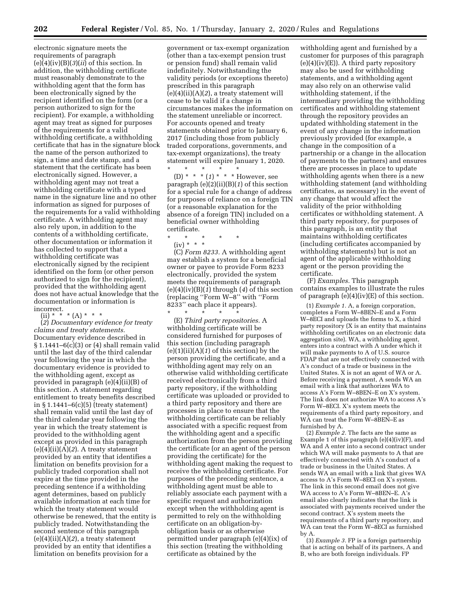**202 Federal Register** / Vol. 85, No. 1 / Thursday, January 2, 2020 / Rules and Regulations

electronic signature meets the requirements of paragraph (e)(4)(iv)(B)(*3*)(*ii*) of this section. In addition, the withholding certificate must reasonably demonstrate to the withholding agent that the form has been electronically signed by the recipient identified on the form (or a person authorized to sign for the recipient). For example, a withholding agent may treat as signed for purposes of the requirements for a valid withholding certificate, a withholding certificate that has in the signature block the name of the person authorized to sign, a time and date stamp, and a statement that the certificate has been electronically signed. However, a withholding agent may not treat a withholding certificate with a typed name in the signature line and no other information as signed for purposes of the requirements for a valid withholding certificate. A withholding agent may also rely upon, in addition to the contents of a withholding certificate, other documentation or information it has collected to support that a withholding certificate was electronically signed by the recipient identified on the form (or other person authorized to sign for the recipient), provided that the withholding agent does not have actual knowledge that the documentation or information is incorrect.

(ii) \* \* \*  $(A)$  \* \* \*

(*2*) *Documentary evidence for treaty claims and treaty statements.*  Documentary evidence described in  $\S 1.1441 - 6(c)(3)$  or (4) shall remain valid until the last day of the third calendar year following the year in which the documentary evidence is provided to the withholding agent, except as provided in paragraph (e)(4)(ii)(B) of this section. A statement regarding entitlement to treaty benefits described in § 1.1441–6(c)(5) (treaty statement) shall remain valid until the last day of the third calendar year following the year in which the treaty statement is provided to the withholding agent except as provided in this paragraph  $(e)(4)(ii)(A)(2)$ . A treaty statement provided by an entity that identifies a limitation on benefits provision for a publicly traded corporation shall not expire at the time provided in the preceding sentence if a withholding agent determines, based on publicly available information at each time for which the treaty statement would otherwise be renewed, that the entity is publicly traded. Notwithstanding the second sentence of this paragraph (e)(4)(ii)(A)(*2*), a treaty statement provided by an entity that identifies a limitation on benefits provision for a

government or tax-exempt organization (other than a tax-exempt pension trust or pension fund) shall remain valid indefinitely. Notwithstanding the validity periods (or exceptions thereto) prescribed in this paragraph  $(e)(4)(ii)(A)(2)$ , a treaty statement will cease to be valid if a change in circumstances makes the information on the statement unreliable or incorrect. For accounts opened and treaty statements obtained prior to January 6, 2017 (including those from publicly traded corporations, governments, and tax-exempt organizations), the treaty statement will expire January 1, 2020.

\* \* \* \* \* (D) \* \* \* (*1*) \* \* \* However, see paragraph (e)(2)(ii)(B)(*1*) of this section for a special rule for a change of address for purposes of reliance on a foreign TIN (or a reasonable explanation for the absence of a foreign TIN) included on a beneficial owner withholding certificate.

\* \* \* \* \* (iv) \* \* \*

(C) *Form 8233.* A withholding agent may establish a system for a beneficial owner or payee to provide Form 8233 electronically, provided the system meets the requirements of paragraph (e)(4)(iv)(B)(*1*) through (*4*) of this section (replacing ''Form W–8'' with ''Form 8233'' each place it appears).

\* \* \* \* \* (E) *Third party repositories.* A withholding certificate will be considered furnished for purposes of this section (including paragraph (e)(1)(ii)(A)(*1*) of this section) by the person providing the certificate, and a withholding agent may rely on an otherwise valid withholding certificate received electronically from a third party repository, if the withholding certificate was uploaded or provided to a third party repository and there are processes in place to ensure that the withholding certificate can be reliably associated with a specific request from the withholding agent and a specific authorization from the person providing the certificate (or an agent of the person providing the certificate) for the withholding agent making the request to receive the withholding certificate. For purposes of the preceding sentence, a withholding agent must be able to reliably associate each payment with a specific request and authorization except when the withholding agent is permitted to rely on the withholding certificate on an obligation-byobligation basis or as otherwise permitted under paragraph (e)(4)(ix) of this section (treating the withholding certificate as obtained by the

withholding agent and furnished by a customer for purposes of this paragraph  $(e)(4)(iv)(E)$ . A third party repository may also be used for withholding statements, and a withholding agent may also rely on an otherwise valid withholding statement, if the intermediary providing the withholding certificates and withholding statement through the repository provides an updated withholding statement in the event of any change in the information previously provided (for example, a change in the composition of a partnership or a change in the allocation of payments to the partners) and ensures there are processes in place to update withholding agents when there is a new withholding statement (and withholding certificates, as necessary) in the event of any change that would affect the validity of the prior withholding certificates or withholding statement. A third party repository, for purposes of this paragraph, is an entity that maintains withholding certificates (including certificates accompanied by withholding statements) but is not an agent of the applicable withholding agent or the person providing the certificate.

(F) *Examples.* This paragraph contains examples to illustrate the rules of paragraph  $(e)(4)(iv)(E)$  of this section.

(1) *Example 1.* A, a foreign corporation, completes a Form W–8BEN–E and a Form W–8ECI and uploads the forms to X, a third party repository (X is an entity that maintains withholding certificates on an electronic data aggregation site). WA, a withholding agent, enters into a contract with A under which it will make payments to A of U.S. source FDAP that are not effectively connected with A's conduct of a trade or business in the United States. X is not an agent of WA or A. Before receiving a payment, A sends WA an email with a link that authorizes WA to access A's Form W–8BEN–E on X's system. The link does not authorize WA to access A's Form W–8ECI. X's system meets the requirements of a third party repository, and WA can treat the Form W–8BEN–E as furnished by A.

(2) *Example 2.* The facts are the same as Example 1 of this paragraph (e)(4)(iv)(F), and WA and A enter into a second contract under which WA will make payments to A that are effectively connected with A's conduct of a trade or business in the United States. A sends WA an email with a link that gives WA access to A's Form W–8ECI on X's system. The link in this second email does not give WA access to A's Form W–8BEN–E. A's email also clearly indicates that the link is associated with payments received under the second contract. X's system meets the requirements of a third party repository, and WA can treat the Form W–8ECI as furnished by A.

(3) *Example 3.* FP is a foreign partnership that is acting on behalf of its partners, A and B, who are both foreign individuals. FP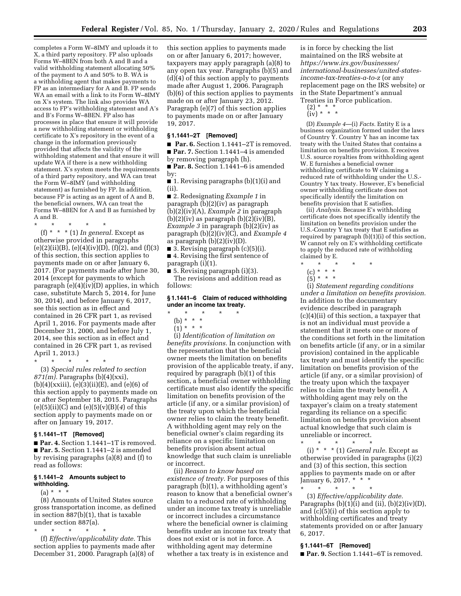completes a Form W–8IMY and uploads it to X, a third party repository. FP also uploads Forms W–8BEN from both A and B and a valid withholding statement allocating 50% of the payment to A and 50% to B. WA is a withholding agent that makes payments to FP as an intermediary for A and B. FP sends WA an email with a link to its Form W–8IMY on X's system. The link also provides WA access to FP's withholding statement and A's and B's Forms W–8BEN. FP also has processes in place that ensure it will provide a new withholding statement or withholding certificate to X's repository in the event of a change in the information previously provided that affects the validity of the withholding statement and that ensure it will update WA if there is a new withholding statement. X's system meets the requirements of a third party repository, and WA can treat the Form  $W=8$ IMY (and withholding statement) as furnished by FP. In addition, because FP is acting as an agent of A and B, the beneficial owners, WA can treat the Forms W–8BEN for A and B as furnished by A and B.

\* \* \* \* \*

(f) \* \* \* (1) *In general.* Except as otherwise provided in paragraphs  $(e)(2)(ii)(B), (e)(4)(iv)(D), (f)(2), and (f)(3)$ of this section, this section applies to payments made on or after January 6, 2017. (For payments made after June 30, 2014 (except for payments to which paragraph (e)(4)(iv)(D) applies, in which case, substitute March 5, 2014, for June 30, 2014), and before January 6, 2017, see this section as in effect and contained in 26 CFR part 1, as revised April 1, 2016. For payments made after December 31, 2000, and before July 1, 2014, see this section as in effect and contained in 26 CFR part 1, as revised April 1, 2013.)

\* \* \* \* \* (3) *Special rules related to section 871(m).* Paragraphs (b)(4)(xxi),  $(b)(4)(xxiii), (e)(3)(ii)(E), and (e)(6) of$ this section apply to payments made on or after September 18, 2015. Paragraphs (e)(5)(ii)(C) and (e)(5)(v)(B)(*4*) of this section apply to payments made on or after on January 19, 2017.

#### **§ 1.1441–1T [Removed]**

■ **Par. 4.** Section 1.1441–1T is removed. ■ **Par. 5.** Section 1.1441–2 is amended by revising paragraphs (a)(8) and (f) to read as follows:

#### **§ 1.1441–2 Amounts subject to withholding.**

#### $(a) * * * *$

(8) Amounts of United States source gross transportation income, as defined in section 887(b)(1), that is taxable under section 887(a).

\* \* \* \* \*

(f) *Effective/applicability date.* This section applies to payments made after December 31, 2000. Paragraph (a)(8) of

this section applies to payments made on or after January 6, 2017; however, taxpayers may apply paragraph (a)(8) to any open tax year. Paragraphs (b)(5) and (d)(4) of this section apply to payments made after August 1, 2006. Paragraph (b)(6) of this section applies to payments made on or after January 23, 2012. Paragraph (e)(7) of this section applies to payments made on or after January 19, 2017.

## **§ 1.1441–2T [Removed]**

■ **Par. 6.** Section 1.1441–2T is removed. ■ **Par. 7.** Section 1.1441–4 is amended by removing paragraph (h).

■ **Par. 8.** Section 1.1441–6 is amended by:

■ 1. Revising paragraphs (b)(1)(i) and (ii).

■ 2. Redesignating *Example* 1 in paragraph (b)(2)(iv) as paragraph (b)(2)(iv)(A), *Example 2* in paragraph  $(b)(2)(iv)$  as paragraph  $(b)(2)(iv)(B)$ , *Example 3* in paragraph (b)(2)(iv) as paragraph (b)(2)(iv)(C), and *Example 4*  as paragraph  $(b)(2)(iv)(D)$ .

■ 3. Revising paragraph (c)(5)(i). ■ 4. Revising the first sentence of

paragraph (i)(1).

■ 5. Revising paragraph (i)(3). The revisions and addition read as follows:

#### **§ 1.1441–6 Claim of reduced withholding under an income tax treaty.**

- \* \* \* \* \*
- (b) \* \* \*
- $(1) * * * *$

(i) *Identification of limitation on benefits provisions.* In conjunction with the representation that the beneficial owner meets the limitation on benefits provision of the applicable treaty, if any, required by paragraph (b)(1) of this section, a beneficial owner withholding certificate must also identify the specific limitation on benefits provision of the article (if any, or a similar provision) of the treaty upon which the beneficial owner relies to claim the treaty benefit. A withholding agent may rely on the beneficial owner's claim regarding its reliance on a specific limitation on benefits provision absent actual knowledge that such claim is unreliable or incorrect.

(ii) *Reason to know based on existence of treaty.* For purposes of this paragraph (b)(1), a withholding agent's reason to know that a beneficial owner's claim to a reduced rate of withholding under an income tax treaty is unreliable or incorrect includes a circumstance where the beneficial owner is claiming benefits under an income tax treaty that does not exist or is not in force. A withholding agent may determine whether a tax treaty is in existence and

is in force by checking the list maintained on the IRS website at *[https://www.irs.gov/businesses/](https://www.irs.gov/businesses/international-businesses/united-states-income-tax-treaties-a-to-z) [international-businesses/united-states](https://www.irs.gov/businesses/international-businesses/united-states-income-tax-treaties-a-to-z)[income-tax-treaties-a-to-z](https://www.irs.gov/businesses/international-businesses/united-states-income-tax-treaties-a-to-z)* (or any replacement page on the IRS website) or in the State Department's annual Treaties in Force publication.

(2) \* \* \* (iv) \* \* \*

(D) *Example 4*—(i) *Facts.* Entity E is a business organization formed under the laws of Country Y. Country Y has an income tax treaty with the United States that contains a limitation on benefits provision. E receives U.S. source royalties from withholding agent W. E furnishes a beneficial owner withholding certificate to W claiming a reduced rate of withholding under the U.S.- Country Y tax treaty. However, E's beneficial owner withholding certificate does not specifically identify the limitation on benefits provision that E satisfies.

(ii) *Analysis.* Because E's withholding certificate does not specifically identify the limitation on benefits provision under the U.S.-Country Y tax treaty that E satisfies as required by paragraph (b)(1)(i) of this section, W cannot rely on E's withholding certificate to apply the reduced rate of withholding claimed by E.

- \* \* \* \* \*
	- (c) \* \* \*
	- (5) \* \* \*

(i) *Statement regarding conditions under a limitation on benefits provision.*  In addition to the documentary evidence described in paragraph (c)(4)(ii) of this section, a taxpayer that is not an individual must provide a statement that it meets one or more of the conditions set forth in the limitation on benefits article (if any, or in a similar provision) contained in the applicable tax treaty and must identify the specific limitation on benefits provision of the article (if any, or a similar provision) of the treaty upon which the taxpayer relies to claim the treaty benefit. A withholding agent may rely on the taxpayer's claim on a treaty statement regarding its reliance on a specific limitation on benefits provision absent actual knowledge that such claim is unreliable or incorrect.

(i) \* \* \* (1) *General rule.* Except as otherwise provided in paragraphs (i)(2) and (3) of this section, this section applies to payments made on or after January 6, 2017. \* \* \*

(3) *Effective/applicability date.*  Paragraphs  $(b)(1)(i)$  and  $(ii)$ ,  $(b)(2)(iv)(D)$ , and (c)(5)(i) of this section apply to withholding certificates and treaty statements provided on or after January 6, 2017.

#### **§ 1.1441–6T [Removed]**

\* \* \* \* \*

\* \* \* \* \*

■ **Par. 9.** Section 1.1441–6T is removed.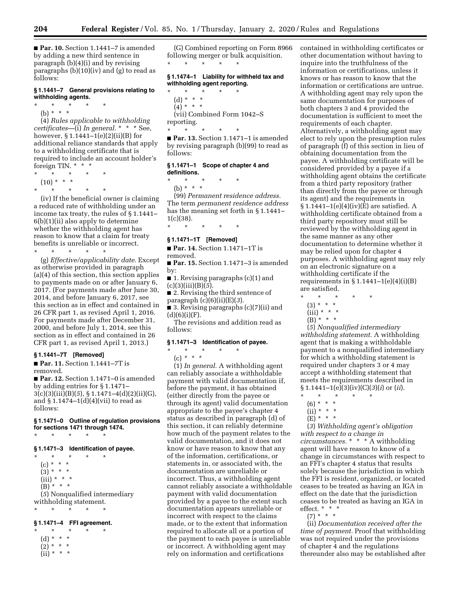■ **Par. 10.** Section 1.1441-7 is amended by adding a new third sentence in paragraph (b)(4)(i) and by revising paragraphs (b)(10)(iv) and (g) to read as follows:

#### **§ 1.1441–7 General provisions relating to withholding agents.**

\* \* \* \* \*

(b) \* \* \*

(4) *Rules applicable to withholding certificates*—(i) *In general.* \* \* \* See, however, § 1.1441–1(e)(2)(ii)(B) for additional reliance standards that apply to a withholding certificate that is required to include an account holder's foreign TIN. \* \* \*

- \* \* \* \* \*
- $(10) * * * *$
- \* \* \* \* \*

(iv) If the beneficial owner is claiming a reduced rate of withholding under an income tax treaty, the rules of § 1.1441– 6(b)(1)(ii) also apply to determine whether the withholding agent has reason to know that a claim for treaty benefits is unreliable or incorrect.

\* \* \* \* \*

(g) *Effective/applicability date.* Except as otherwise provided in paragraph (a)(4) of this section, this section applies to payments made on or after January 6, 2017. (For payments made after June 30, 2014, and before January 6, 2017, see this section as in effect and contained in 26 CFR part 1, as revised April 1, 2016. For payments made after December 31, 2000, and before July 1, 2014, see this section as in effect and contained in 26 CFR part 1, as revised April 1, 2013.)

#### **§ 1.1441–7T [Removed]**

■ **Par. 11.** Section 1.1441–7T is removed.

■ **Par. 12.** Section 1.1471–0 is amended by adding entries for § 1.1471– 3(c)(3)(iii)(B)(*5*), § 1.1471–4(d)(2)(ii)(G), and  $\S 1.1474-1(d)(4)(vii)$  to read as follows:

**§ 1.1471–0 Outline of regulation provisions for sections 1471 through 1474.**  \* \* \* \* \*

#### **§ 1.1471–3 Identification of payee.**

\* \* \* \* \*  $(c) * * * *$  $(3) * * * *$  $(iii) * * * *$  $(B)$ <sup>\*</sup> \* \* (*5*) Nonqualified intermediary withholding statement. \* \* \* \* \*

## **§ 1.1471–4 FFI agreement.**

\* \* \* \* \* (d) \* \* \*  $(2) * * * *$  $(ii) * * * *$ 

(G) Combined reporting on Form 8966 following merger or bulk acquisition. \* \* \* \* \*

#### **§ 1.1474–1 Liability for withheld tax and withholding agent reporting.**

\* \* \* \* \* (d) \* \* \*  $(4) * * * *$ 

(vii) Combined Form 1042–S reporting. \* \* \* \* \*

■ **Par. 13.** Section 1.1471–1 is amended by revising paragraph (b)(99) to read as follows:

#### **§ 1.1471–1 Scope of chapter 4 and definitions.**

\* \* \* \* \*

(b) \* \* \* (99) *Permanent residence address.*  The term *permanent residence address*  has the meaning set forth in § 1.1441–  $1(c)(38)$ .

\* \* \* \* \*

# **§ 1.1471–1T [Removed]**

■ **Par. 14.** Section 1.1471–1T is removed.

■ **Par. 15.** Section 1.1471-3 is amended by:

 $\blacksquare$  1. Revising paragraphs (c)(1) and (c)(3)(iii)(B)(*5*).

■ 2. Revising the third sentence of paragraph (c)(6)(ii)(E)(*3*).

■ 3. Revising paragraphs (c)(7)(ii) and  $(d)(6)(i)(F).$ 

The revisions and addition read as follows:

#### **§ 1.1471–3 Identification of payee.**

\* \* \* \* \* (c) *\* \* \** 

(1) *In general.* A withholding agent can reliably associate a withholdable payment with valid documentation if, before the payment, it has obtained (either directly from the payee or through its agent) valid documentation appropriate to the payee's chapter 4 status as described in paragraph (d) of this section, it can reliably determine how much of the payment relates to the valid documentation, and it does not know or have reason to know that any of the information, certifications, or statements in, or associated with, the documentation are unreliable or incorrect. Thus, a withholding agent cannot reliably associate a withholdable payment with valid documentation provided by a payee to the extent such documentation appears unreliable or incorrect with respect to the claims made, or to the extent that information required to allocate all or a portion of the payment to each payee is unreliable or incorrect. A withholding agent may rely on information and certifications

contained in withholding certificates or other documentation without having to inquire into the truthfulness of the information or certifications, unless it knows or has reason to know that the information or certifications are untrue. A withholding agent may rely upon the same documentation for purposes of both chapters 3 and 4 provided the documentation is sufficient to meet the requirements of each chapter. Alternatively, a withholding agent may elect to rely upon the presumption rules of paragraph (f) of this section in lieu of obtaining documentation from the payee. A withholding certificate will be considered provided by a payee if a withholding agent obtains the certificate from a third party repository (rather than directly from the payee or through its agent) and the requirements in  $§ 1.1441-1(e)(4)(iv)(E)$  are satisfied. A withholding certificate obtained from a third party repository must still be reviewed by the withholding agent in the same manner as any other documentation to determine whether it may be relied upon for chapter 4 purposes. A withholding agent may rely on an electronic signature on a withholding certificate if the requirements in  $§ 1.1441-1(e)(4)(i)(B)$ are satisfied.

- \* \* \* \* \*
	- (3) \* \* \*
	- $(iii) * * * *$

 $(B)$  \* \* \*

(*5*) *Nonqualified intermediary withholding statement.* A withholding agent that is making a withholdable payment to a nonqualified intermediary for which a withholding statement is required under chapters 3 or 4 may accept a withholding statement that meets the requirements described in § 1.1441–1(e)(3)(iv)(C)(*3*)(*i*) or (*ii*).

(6) \* \* \*

(*3*) *Withholding agent's obligation with respect to a change in circumstances.* \* \* \* A withholding agent will have reason to know of a change in circumstances with respect to an FFI's chapter 4 status that results solely because the jurisdiction in which the FFI is resident, organized, or located ceases to be treated as having an IGA in effect on the date that the jurisdiction ceases to be treated as having an IGA in effect. \* \* \*

 $(7) * * * *$ 

(ii) *Documentation received after the time of payment.* Proof that withholding was not required under the provisions of chapter 4 and the regulations thereunder also may be established after

<sup>\* \* \* \* \*</sup> 

 $(ii) * * * *$ 

<sup>(</sup>E) \* \* \*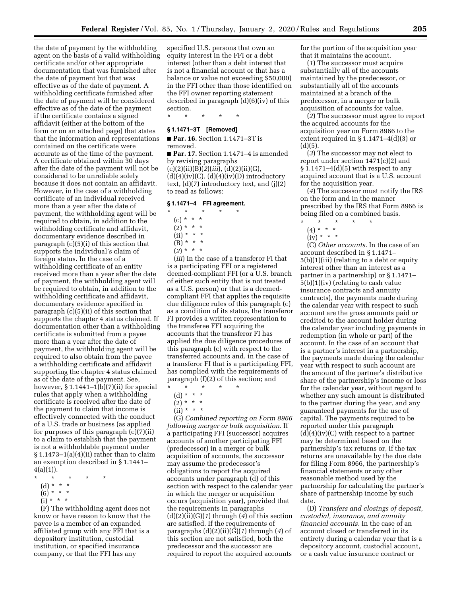the date of payment by the withholding agent on the basis of a valid withholding certificate and/or other appropriate documentation that was furnished after the date of payment but that was effective as of the date of payment. A withholding certificate furnished after the date of payment will be considered effective as of the date of the payment if the certificate contains a signed affidavit (either at the bottom of the form or on an attached page) that states that the information and representations contained on the certificate were accurate as of the time of the payment. A certificate obtained within 30 days after the date of the payment will not be considered to be unreliable solely because it does not contain an affidavit. However, in the case of a withholding certificate of an individual received more than a year after the date of payment, the withholding agent will be required to obtain, in addition to the withholding certificate and affidavit, documentary evidence described in paragraph (c)(5)(i) of this section that supports the individual's claim of foreign status. In the case of a withholding certificate of an entity received more than a year after the date of payment, the withholding agent will be required to obtain, in addition to the withholding certificate and affidavit, documentary evidence specified in paragraph (c)(5)(ii) of this section that supports the chapter 4 status claimed. If documentation other than a withholding certificate is submitted from a payee more than a year after the date of payment, the withholding agent will be required to also obtain from the payee a withholding certificate and affidavit supporting the chapter 4 status claimed as of the date of the payment. See, however,  $\S 1.1441-1(b)(7)(ii)$  for special rules that apply when a withholding certificate is received after the date of the payment to claim that income is effectively connected with the conduct of a U.S. trade or business (as applied for purposes of this paragraph (c)(7)(ii) to a claim to establish that the payment is not a withholdable payment under  $§ 1.1473-1(a)(4)(ii)$  rather than to claim an exemption described in § 1.1441–  $4(a)(1)$ ).

- \* \* \* \* \*
- (d) \* \* \*
- $(6) * * * *$
- $(i) * * * *$

(F) The withholding agent does not know or have reason to know that the payee is a member of an expanded affiliated group with any FFI that is a depository institution, custodial institution, or specified insurance company, or that the FFI has any

specified U.S. persons that own an equity interest in the FFI or a debt interest (other than a debt interest that is not a financial account or that has a balance or value not exceeding \$50,000) in the FFI other than those identified on the FFI owner reporting statement described in paragraph (d)(6)(iv) of this section.

\* \* \* \* \*

## **§ 1.1471–3T [Removed]**

■ **Par. 16.** Section 1.1471–3T is removed.

■ **Par. 17.** Section 1.1471–4 is amended by revising paragraphs (c)(2)(ii)(B)(*2*)(*iii*), (d)(2)(ii)(G),  $(d)(4)(iv)(C), (d)(4)(iv)(D)$  introductory text, (d)(7) introductory text, and (j)(2) to read as follows:

## **§ 1.1471–4 FFI agreement.**

- \* \* \* \* \*  $(c) * * * *$ 
	- $(2) * * * *$
	- $(ii) * * * *$
	- $(B) * * * *$
	- (*2*) \* \* \*

(*iii*) In the case of a transferor FI that is a participating FFI or a registered deemed-compliant FFI (or a U.S. branch of either such entity that is not treated as a U.S. person) or that is a deemedcompliant FFI that applies the requisite due diligence rules of this paragraph (c) as a condition of its status, the transferor FI provides a written representation to the transferee FFI acquiring the accounts that the transferor FI has applied the due diligence procedures of this paragraph (c) with respect to the transferred accounts and, in the case of a transferor FI that is a participating FFI, has complied with the requirements of paragraph (f)(2) of this section; and

- $\star$   $\star$   $\star$
- (d) \* \* \*  $(2) * * * *$
- $(ii) * * * *$
- 

(G) *Combined reporting on Form 8966 following merger or bulk acquisition.* If a participating FFI (successor) acquires accounts of another participating FFI (predecessor) in a merger or bulk acquisition of accounts, the successor may assume the predecessor's obligations to report the acquired accounts under paragraph (d) of this section with respect to the calendar year in which the merger or acquisition occurs (acquisition year), provided that the requirements in paragraphs (d)(2)(ii)(G)(*1*) through (*4*) of this section are satisfied. If the requirements of paragraphs (d)(2)(ii)(G)(*1*) through (*4*) of this section are not satisfied, both the predecessor and the successor are required to report the acquired accounts

for the portion of the acquisition year that it maintains the account.

(*1*) The successor must acquire substantially all of the accounts maintained by the predecessor, or substantially all of the accounts maintained at a branch of the predecessor, in a merger or bulk acquisition of accounts for value.

(*2*) The successor must agree to report the acquired accounts for the acquisition year on Form 8966 to the extent required in § 1.1471–4(d)(3) or  $(d)(5)$ .

(*3*) The successor may not elect to report under section 1471(c)(2) and  $§ 1.1471-4(d)(5)$  with respect to any acquired account that is a U.S. account for the acquisition year.

(*4*) The successor must notify the IRS on the form and in the manner prescribed by the IRS that Form 8966 is being filed on a combined basis.

- \* \* \* \* \*
- $(4) * * * *$

# $(iv) * * * *$

(C) *Other accounts.* In the case of an account described in § 1.1471– 5(b)(1)(iii) (relating to a debt or equity interest other than an interest as a partner in a partnership) or § 1.1471– 5(b)(1)(iv) (relating to cash value insurance contracts and annuity contracts), the payments made during the calendar year with respect to such account are the gross amounts paid or credited to the account holder during the calendar year including payments in redemption (in whole or part) of the account. In the case of an account that is a partner's interest in a partnership, the payments made during the calendar year with respect to such account are the amount of the partner's distributive share of the partnership's income or loss for the calendar year, without regard to whether any such amount is distributed to the partner during the year, and any guaranteed payments for the use of capital. The payments required to be reported under this paragraph  $(d)(4)(iv)(C)$  with respect to a partner may be determined based on the partnership's tax returns or, if the tax returns are unavailable by the due date for filing Form 8966, the partnership's financial statements or any other reasonable method used by the partnership for calculating the partner's share of partnership income by such date.

(D) *Transfers and closings of deposit, custodial, insurance, and annuity financial accounts.* In the case of an account closed or transferred in its entirety during a calendar year that is a depository account, custodial account, or a cash value insurance contract or